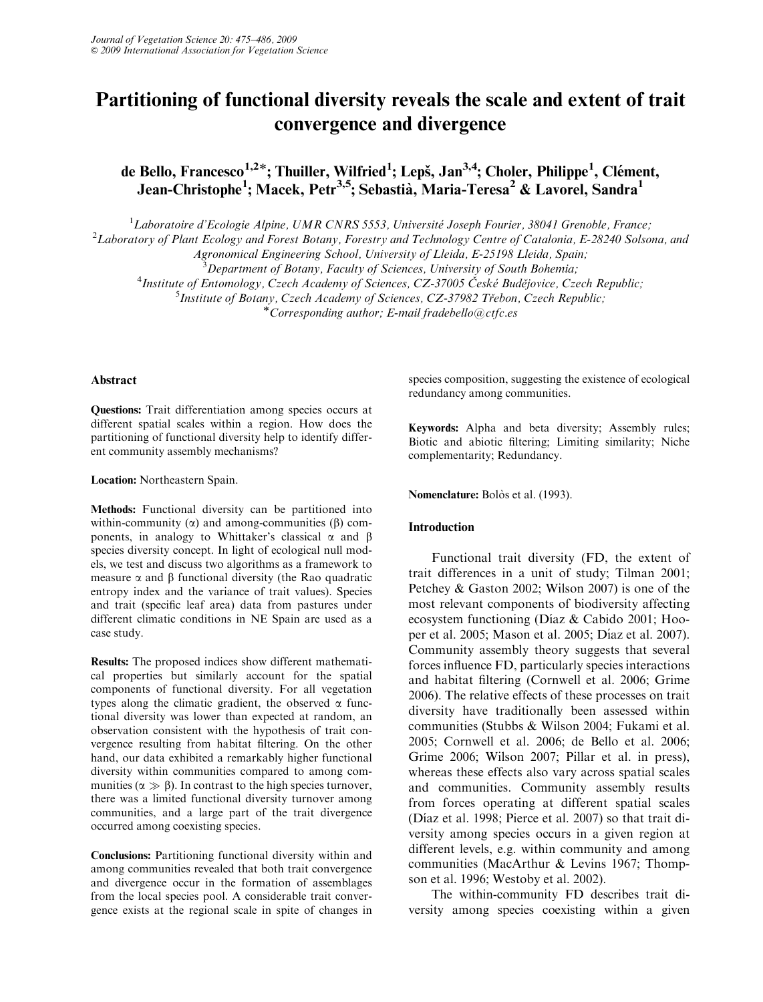# Partitioning of functional diversity reveals the scale and extent of trait convergence and divergence

de Bello, Francesco<sup>1,2\*</sup>; Thuiller, Wilfried<sup>1</sup>; Lepš, Jan<sup>3,4</sup>; Choler, Philippe<sup>1</sup>, Clément, Jean-Christophe<sup>1</sup>; Macek, Petr<sup>3,5</sup>; Sebastià, Maria-Teresa<sup>2</sup> & Lavorel, Sandra<sup>1</sup>

<sup>1</sup> Laboratoire d'Ecologie Alpine, UMR CNRS 5553, Université Joseph Fourier, 38041 Grenoble, France;<sup>2</sup> Laboratory of Plant Ecology and Egrest Botany, Forestry and Technology Centre of Catalonia, F-28240 Solso

<sup>2</sup>Laboratory of Plant Ecology and Forest Botany, Forestry and Technology Centre of Catalonia, E-28240 Solsona, and

Agronomical Engineering School, University of Lleida, E-25198 Lleida, Spain;<br><sup>3</sup>Department of Botany, Faculty of Sciences, University of South Bohemia;

<sup>2</sup>Department of Botany, Faculty of Sciences, University of South Bohemia;<br><sup>4</sup>Institute of Entomology, Czech Academy of Sciences, CZ-37005 České Budějovice, Cz

Institute of Entomology, Czech Academy of Sciences, CZ-37005 České Budějovice, Czech Republic;<br><sup>5</sup> Institute of Botany Czech Academy of Sciences, CZ-37982 Třebon, Czech Republic;

 $<sup>5</sup>$  Institute of Botany, Czech Academy of Sciences, CZ-37982 Třebon, Czech Republic;</sup>

\* Corresponding author; E-mail fradebello $@ctfc.es$ 

# Abstract

Questions: Trait differentiation among species occurs at different spatial scales within a region. How does the partitioning of functional diversity help to identify different community assembly mechanisms?

# Location: Northeastern Spain.

Methods: Functional diversity can be partitioned into within-community  $(\alpha)$  and among-communities  $(\beta)$  components, in analogy to Whittaker's classical  $\alpha$  and  $\beta$ species diversity concept. In light of ecological null models, we test and discuss two algorithms as a framework to measure  $\alpha$  and  $\beta$  functional diversity (the Rao quadratic entropy index and the variance of trait values). Species and trait (specific leaf area) data from pastures under different climatic conditions in NE Spain are used as a case study.

Results: The proposed indices show different mathematical properties but similarly account for the spatial components of functional diversity. For all vegetation types along the climatic gradient, the observed  $\alpha$  functional diversity was lower than expected at random, an observation consistent with the hypothesis of trait convergence resulting from habitat filtering. On the other hand, our data exhibited a remarkably higher functional diversity within communities compared to among communities ( $\alpha \gg \beta$ ). In contrast to the high species turnover, there was a limited functional diversity turnover among communities, and a large part of the trait divergence occurred among coexisting species.

Conclusions: Partitioning functional diversity within and among communities revealed that both trait convergence and divergence occur in the formation of assemblages from the local species pool. A considerable trait convergence exists at the regional scale in spite of changes in species composition, suggesting the existence of ecological redundancy among communities.

Keywords: Alpha and beta diversity; Assembly rules; Biotic and abiotic filtering; Limiting similarity; Niche complementarity; Redundancy.

## Nomenclature: Bolòs et al. (1993).

# Introduction

Functional trait diversity (FD, the extent of trait differences in a unit of study; Tilman 2001; Petchey & Gaston 2002; Wilson 2007) is one of the most relevant components of biodiversity affecting ecosystem functioning (Díaz & Cabido 2001; Hooper et al. 2005; Mason et al. 2005; Díaz et al. 2007). Community assembly theory suggests that several forces influence FD, particularly species interactions and habitat filtering (Cornwell et al. 2006; Grime 2006). The relative effects of these processes on trait diversity have traditionally been assessed within communities (Stubbs & Wilson 2004; Fukami et al. 2005; Cornwell et al. 2006; de Bello et al. 2006; Grime 2006; Wilson 2007; Pillar et al. in press), whereas these effects also vary across spatial scales and communities. Community assembly results from forces operating at different spatial scales (Díaz et al. 1998; Pierce et al. 2007) so that trait diversity among species occurs in a given region at different levels, e.g. within community and among communities (MacArthur & Levins 1967; Thompson et al. 1996; Westoby et al. 2002).

The within-community FD describes trait diversity among species coexisting within a given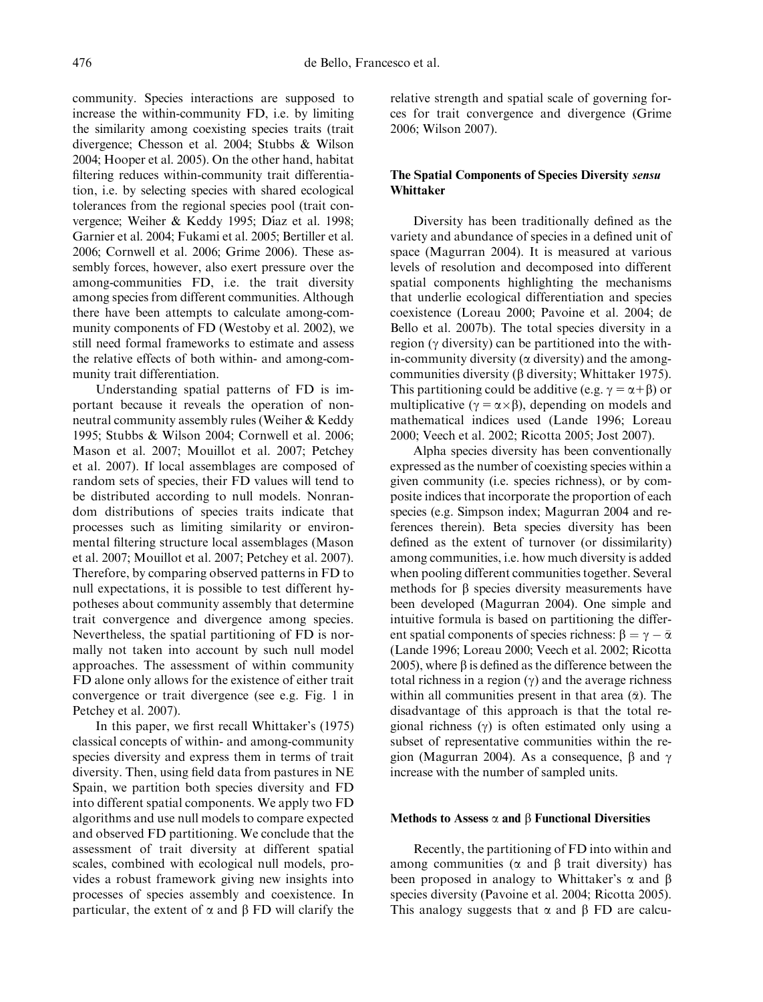community. Species interactions are supposed to increase the within-community FD, i.e. by limiting the similarity among coexisting species traits (trait divergence; Chesson et al. 2004; Stubbs & Wilson 2004; Hooper et al. 2005). On the other hand, habitat filtering reduces within-community trait differentiation, i.e. by selecting species with shared ecological tolerances from the regional species pool (trait convergence; Weiher & Keddy 1995; Díaz et al. 1998; Garnier et al. 2004; Fukami et al. 2005; Bertiller et al. 2006; Cornwell et al. 2006; Grime 2006). These assembly forces, however, also exert pressure over the among-communities FD, i.e. the trait diversity among species from different communities. Although there have been attempts to calculate among-community components of FD (Westoby et al. 2002), we still need formal frameworks to estimate and assess the relative effects of both within- and among-community trait differentiation.

Understanding spatial patterns of FD is important because it reveals the operation of nonneutral community assembly rules (Weiher & Keddy 1995; Stubbs & Wilson 2004; Cornwell et al. 2006; Mason et al. 2007; Mouillot et al. 2007; Petchey et al. 2007). If local assemblages are composed of random sets of species, their FD values will tend to be distributed according to null models. Nonrandom distributions of species traits indicate that processes such as limiting similarity or environmental filtering structure local assemblages (Mason et al. 2007; Mouillot et al. 2007; Petchey et al. 2007). Therefore, by comparing observed patterns in FD to null expectations, it is possible to test different hypotheses about community assembly that determine trait convergence and divergence among species. Nevertheless, the spatial partitioning of FD is normally not taken into account by such null model approaches. The assessment of within community FD alone only allows for the existence of either trait convergence or trait divergence (see e.g. Fig. 1 in Petchey et al. 2007).

In this paper, we first recall Whittaker's (1975) classical concepts of within- and among-community species diversity and express them in terms of trait diversity. Then, using field data from pastures in NE Spain, we partition both species diversity and FD into different spatial components. We apply two FD algorithms and use null models to compare expected and observed FD partitioning. We conclude that the assessment of trait diversity at different spatial scales, combined with ecological null models, provides a robust framework giving new insights into processes of species assembly and coexistence. In particular, the extent of  $\alpha$  and  $\beta$  FD will clarify the

relative strength and spatial scale of governing forces for trait convergence and divergence (Grime 2006; Wilson 2007).

# The Spatial Components of Species Diversity sensu Whittaker

Diversity has been traditionally defined as the variety and abundance of species in a defined unit of space (Magurran 2004). It is measured at various levels of resolution and decomposed into different spatial components highlighting the mechanisms that underlie ecological differentiation and species coexistence (Loreau 2000; Pavoine et al. 2004; de Bello et al. 2007b). The total species diversity in a region ( $\gamma$  diversity) can be partitioned into the within-community diversity ( $\alpha$  diversity) and the amongcommunities diversity  $(\beta$  diversity; Whittaker 1975). This partitioning could be additive (e.g.  $\gamma = \alpha + \beta$ ) or multiplicative ( $\gamma = \alpha \times \beta$ ), depending on models and mathematical indices used (Lande 1996; Loreau 2000; Veech et al. 2002; Ricotta 2005; Jost 2007).

Alpha species diversity has been conventionally expressed as the number of coexisting species within a given community (i.e. species richness), or by composite indices that incorporate the proportion of each species (e.g. Simpson index; Magurran 2004 and references therein). Beta species diversity has been defined as the extent of turnover (or dissimilarity) among communities, i.e. how much diversity is added when pooling different communities together. Several methods for  $\beta$  species diversity measurements have been developed (Magurran 2004). One simple and intuitive formula is based on partitioning the different spatial components of species richness:  $\beta = \gamma - \bar{\alpha}$ (Lande 1996; Loreau 2000; Veech et al. 2002; Ricotta 2005), where  $\beta$  is defined as the difference between the total richness in a region  $(\gamma)$  and the average richness within all communities present in that area  $(\bar{\alpha})$ . The disadvantage of this approach is that the total regional richness  $(y)$  is often estimated only using a subset of representative communities within the region (Magurran 2004). As a consequence,  $\beta$  and  $\gamma$ increase with the number of sampled units.

## Methods to Assess  $\alpha$  and  $\beta$  Functional Diversities

Recently, the partitioning of FD into within and among communities ( $\alpha$  and  $\beta$  trait diversity) has been proposed in analogy to Whittaker's  $\alpha$  and  $\beta$ species diversity (Pavoine et al. 2004; Ricotta 2005). This analogy suggests that  $\alpha$  and  $\beta$  FD are calcu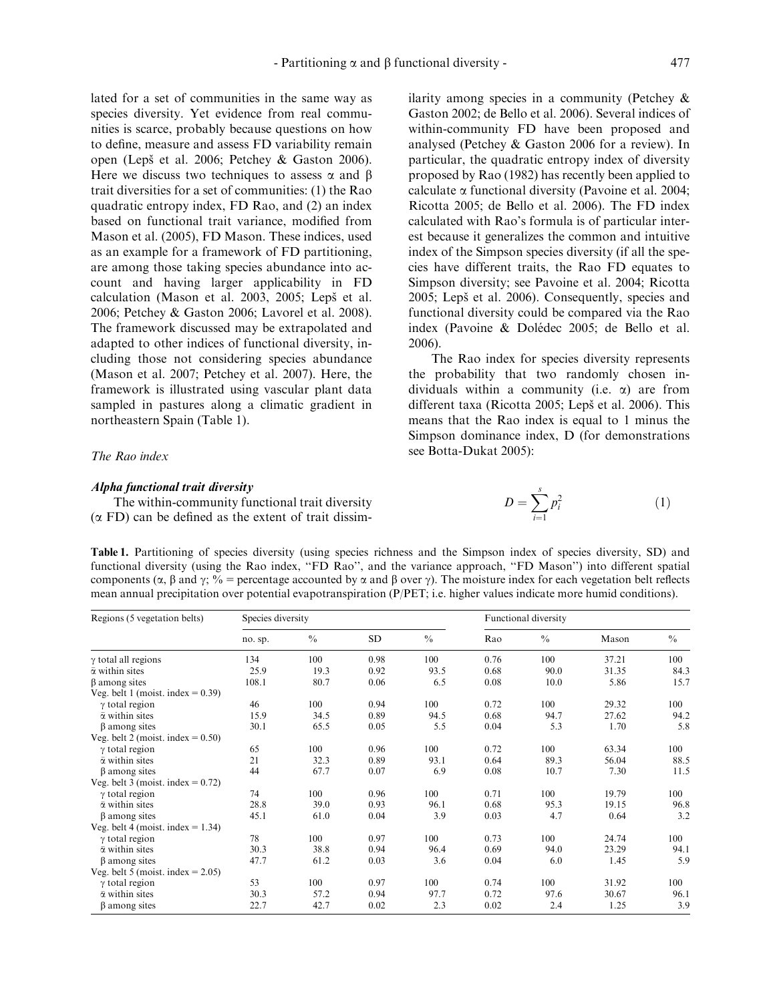lated for a set of communities in the same way as species diversity. Yet evidence from real communities is scarce, probably because questions on how to define, measure and assess FD variability remain open (Lepš et al. 2006; Petchey & Gaston 2006). Here we discuss two techniques to assess  $\alpha$  and  $\beta$ trait diversities for a set of communities: (1) the Rao quadratic entropy index, FD Rao, and (2) an index based on functional trait variance, modified from Mason et al. (2005), FD Mason. These indices, used as an example for a framework of FD partitioning, are among those taking species abundance into account and having larger applicability in FD calculation (Mason et al. 2003, 2005; Lepš et al. 2006; Petchey & Gaston 2006; Lavorel et al. 2008). The framework discussed may be extrapolated and adapted to other indices of functional diversity, including those not considering species abundance (Mason et al. 2007; Petchey et al. 2007). Here, the framework is illustrated using vascular plant data sampled in pastures along a climatic gradient in northeastern Spain (Table 1).

# The Rao index

## Alpha functional trait diversity

The within-community functional trait diversity  $(\alpha$  FD) can be defined as the extent of trait dissimilarity among species in a community (Petchey & Gaston 2002; de Bello et al. 2006). Several indices of within-community FD have been proposed and analysed (Petchey & Gaston 2006 for a review). In particular, the quadratic entropy index of diversity proposed by Rao (1982) has recently been applied to calculate  $\alpha$  functional diversity (Pavoine et al. 2004; Ricotta 2005; de Bello et al. 2006). The FD index calculated with Rao's formula is of particular interest because it generalizes the common and intuitive index of the Simpson species diversity (if all the species have different traits, the Rao FD equates to Simpson diversity; see Pavoine et al. 2004; Ricotta 2005; Lepš et al. 2006). Consequently, species and functional diversity could be compared via the Rao index (Pavoine & Dolédec 2005; de Bello et al. 2006).

The Rao index for species diversity represents the probability that two randomly chosen individuals within a community (i.e.  $\alpha$ ) are from different taxa (Ricotta 2005; Lepš et al. 2006). This means that the Rao index is equal to 1 minus the Simpson dominance index, D (for demonstrations see Botta-Dukat 2005):

$$
D = \sum_{i=1}^{s} p_i^2 \tag{1}
$$

Table 1. Partitioning of species diversity (using species richness and the Simpson index of species diversity, SD) and functional diversity (using the Rao index, ''FD Rao'', and the variance approach, ''FD Mason'') into different spatial components ( $\alpha$ ,  $\beta$  and  $\gamma$ ;  $\%$  = percentage accounted by  $\alpha$  and  $\beta$  over  $\gamma$ ). The moisture index for each vegetation belt reflects mean annual precipitation over potential evapotranspiration (P/PET; i.e. higher values indicate more humid conditions).

| Regions (5 vegetation belts)         | Species diversity |               |      |               | Functional diversity |             |       |               |
|--------------------------------------|-------------------|---------------|------|---------------|----------------------|-------------|-------|---------------|
|                                      | no. sp.           | $\frac{0}{0}$ | SD   | $\frac{0}{0}$ | Rao                  | $^{0}/_{0}$ | Mason | $\frac{0}{0}$ |
| $\gamma$ total all regions           | 134               | 100           | 0.98 | 100           | 0.76                 | 100         | 37.21 | 100           |
| $\bar{\alpha}$ within sites          | 25.9              | 19.3          | 0.92 | 93.5          | 0.68                 | 90.0        | 31.35 | 84.3          |
| $\beta$ among sites                  | 108.1             | 80.7          | 0.06 | 6.5           | 0.08                 | 10.0        | 5.86  | 15.7          |
| Veg. belt 1 (moist. index $= 0.39$ ) |                   |               |      |               |                      |             |       |               |
| $\gamma$ total region                | 46                | 100           | 0.94 | 100           | 0.72                 | 100         | 29.32 | 100           |
| $\bar{\alpha}$ within sites          | 15.9              | 34.5          | 0.89 | 94.5          | 0.68                 | 94.7        | 27.62 | 94.2          |
| $\beta$ among sites                  | 30.1              | 65.5          | 0.05 | 5.5           | 0.04                 | 5.3         | 1.70  | 5.8           |
| Veg. belt 2 (moist. index $= 0.50$ ) |                   |               |      |               |                      |             |       |               |
| $\gamma$ total region                | 65                | 100           | 0.96 | 100           | 0.72                 | 100         | 63.34 | 100           |
| $\bar{\alpha}$ within sites          | 21                | 32.3          | 0.89 | 93.1          | 0.64                 | 89.3        | 56.04 | 88.5          |
| β among sites                        | 44                | 67.7          | 0.07 | 6.9           | 0.08                 | 10.7        | 7.30  | 11.5          |
| Veg. belt 3 (moist. index $= 0.72$ ) |                   |               |      |               |                      |             |       |               |
| $\gamma$ total region                | 74                | 100           | 0.96 | 100           | 0.71                 | 100         | 19.79 | 100           |
| $\bar{\alpha}$ within sites          | 28.8              | 39.0          | 0.93 | 96.1          | 0.68                 | 95.3        | 19.15 | 96.8          |
| β among sites                        | 45.1              | 61.0          | 0.04 | 3.9           | 0.03                 | 4.7         | 0.64  | 3.2           |
| Veg. belt 4 (moist. index $= 1.34$ ) |                   |               |      |               |                      |             |       |               |
| $\gamma$ total region                | 78                | 100           | 0.97 | 100           | 0.73                 | 100         | 24.74 | 100           |
| $\bar{\alpha}$ within sites          | 30.3              | 38.8          | 0.94 | 96.4          | 0.69                 | 94.0        | 23.29 | 94.1          |
| β among sites                        | 47.7              | 61.2          | 0.03 | 3.6           | 0.04                 | 6.0         | 1.45  | 5.9           |
| Veg. belt 5 (moist. index $= 2.05$ ) |                   |               |      |               |                      |             |       |               |
| $\gamma$ total region                | 53                | 100           | 0.97 | 100           | 0.74                 | 100         | 31.92 | 100           |
| $\bar{\alpha}$ within sites          | 30.3              | 57.2          | 0.94 | 97.7          | 0.72                 | 97.6        | 30.67 | 96.1          |
| $\beta$ among sites                  | 22.7              | 42.7          | 0.02 | 2.3           | 0.02                 | 2.4         | 1.25  | 3.9           |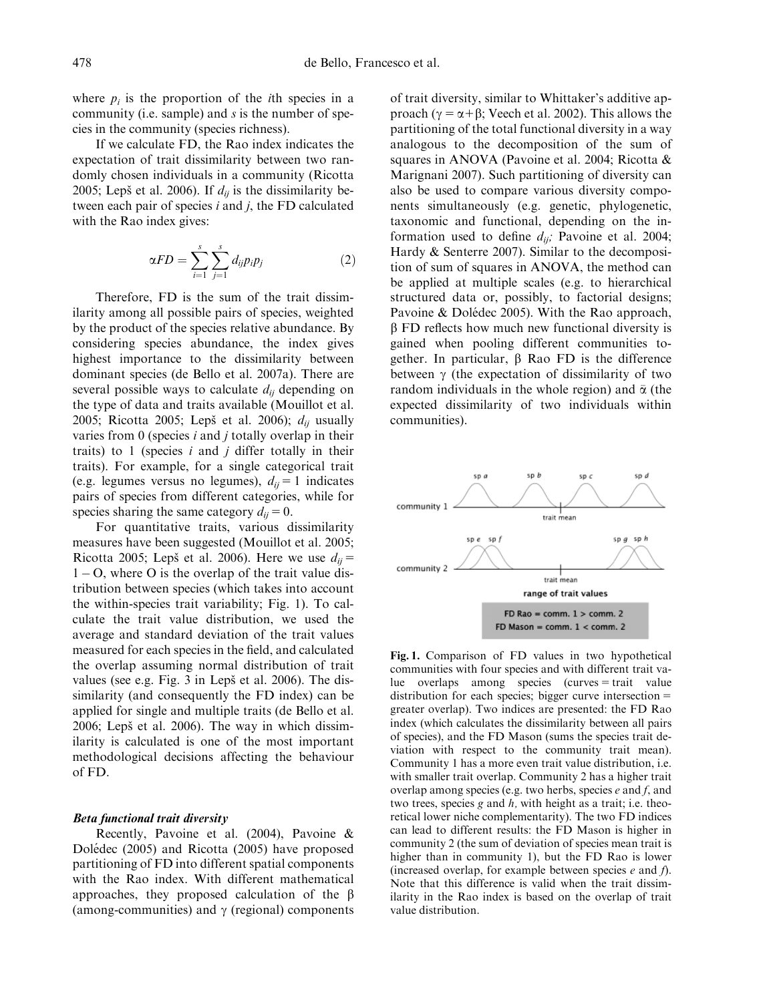where  $p_i$  is the proportion of the *i*th species in a community (i.e. sample) and s is the number of species in the community (species richness).

If we calculate FD, the Rao index indicates the expectation of trait dissimilarity between two randomly chosen individuals in a community (Ricotta 2005; Lepš et al. 2006). If  $d_{ij}$  is the dissimilarity between each pair of species i and j, the FD calculated with the Rao index gives:

$$
\alpha FD = \sum_{i=1}^{s} \sum_{j=1}^{s} d_{ij} p_i p_j \tag{2}
$$

Therefore, FD is the sum of the trait dissimilarity among all possible pairs of species, weighted by the product of the species relative abundance. By considering species abundance, the index gives highest importance to the dissimilarity between dominant species (de Bello et al. 2007a). There are several possible ways to calculate  $d_{ii}$  depending on the type of data and traits available (Mouillot et al. 2005; Ricotta 2005; Lepš et al. 2006);  $d_{ij}$  usually varies from  $0$  (species  $i$  and  $j$  totally overlap in their traits) to 1 (species  $i$  and  $j$  differ totally in their traits). For example, for a single categorical trait (e.g. legumes versus no legumes),  $d_{ij} = 1$  indicates pairs of species from different categories, while for species sharing the same category  $d_{ij} = 0$ .

For quantitative traits, various dissimilarity measures have been suggested (Mouillot et al. 2005; Ricotta 2005; Lepš et al. 2006). Here we use  $d_{ii}$  =  $1 - O$ , where O is the overlap of the trait value distribution between species (which takes into account the within-species trait variability; Fig. 1). To calculate the trait value distribution, we used the average and standard deviation of the trait values measured for each species in the field, and calculated the overlap assuming normal distribution of trait values (see e.g. Fig. 3 in Lepš et al. 2006). The dissimilarity (and consequently the FD index) can be applied for single and multiple traits (de Bello et al.  $2006$ ; Lepš et al.  $2006$ ). The way in which dissimilarity is calculated is one of the most important methodological decisions affecting the behaviour of FD.

#### Beta functional trait diversity

Recently, Pavoine et al. (2004), Pavoine & Dolédec (2005) and Ricotta (2005) have proposed partitioning of FD into different spatial components with the Rao index. With different mathematical approaches, they proposed calculation of the  $\beta$ (among-communities) and  $\gamma$  (regional) components

of trait diversity, similar to Whittaker's additive approach ( $\gamma = \alpha + \beta$ ; Veech et al. 2002). This allows the partitioning of the total functional diversity in a way analogous to the decomposition of the sum of squares in ANOVA (Pavoine et al. 2004; Ricotta & Marignani 2007). Such partitioning of diversity can also be used to compare various diversity components simultaneously (e.g. genetic, phylogenetic, taxonomic and functional, depending on the information used to define  $d_{ij}$ ; Pavoine et al. 2004; Hardy & Senterre 2007). Similar to the decomposition of sum of squares in ANOVA, the method can be applied at multiple scales (e.g. to hierarchical structured data or, possibly, to factorial designs; Pavoine  $& Dolédec 2005$ . With the Rao approach,  $\beta$  FD reflects how much new functional diversity is gained when pooling different communities together. In particular,  $\beta$  Rao FD is the difference between  $\gamma$  (the expectation of dissimilarity of two random individuals in the whole region) and  $\bar{\alpha}$  (the expected dissimilarity of two individuals within communities).



Fig. 1. Comparison of FD values in two hypothetical communities with four species and with different trait va $lue$  overlaps among species (curves  $=$  trait value distribution for each species; bigger curve intersection  $=$ greater overlap). Two indices are presented: the FD Rao index (which calculates the dissimilarity between all pairs of species), and the FD Mason (sums the species trait deviation with respect to the community trait mean). Community 1 has a more even trait value distribution, i.e. with smaller trait overlap. Community 2 has a higher trait overlap among species (e.g. two herbs, species  $e$  and  $f$ , and two trees, species  $g$  and  $h$ , with height as a trait; i.e. theoretical lower niche complementarity). The two FD indices can lead to different results: the FD Mason is higher in community 2 (the sum of deviation of species mean trait is higher than in community 1), but the FD Rao is lower (increased overlap, for example between species  $e$  and  $f$ ). Note that this difference is valid when the trait dissimilarity in the Rao index is based on the overlap of trait value distribution.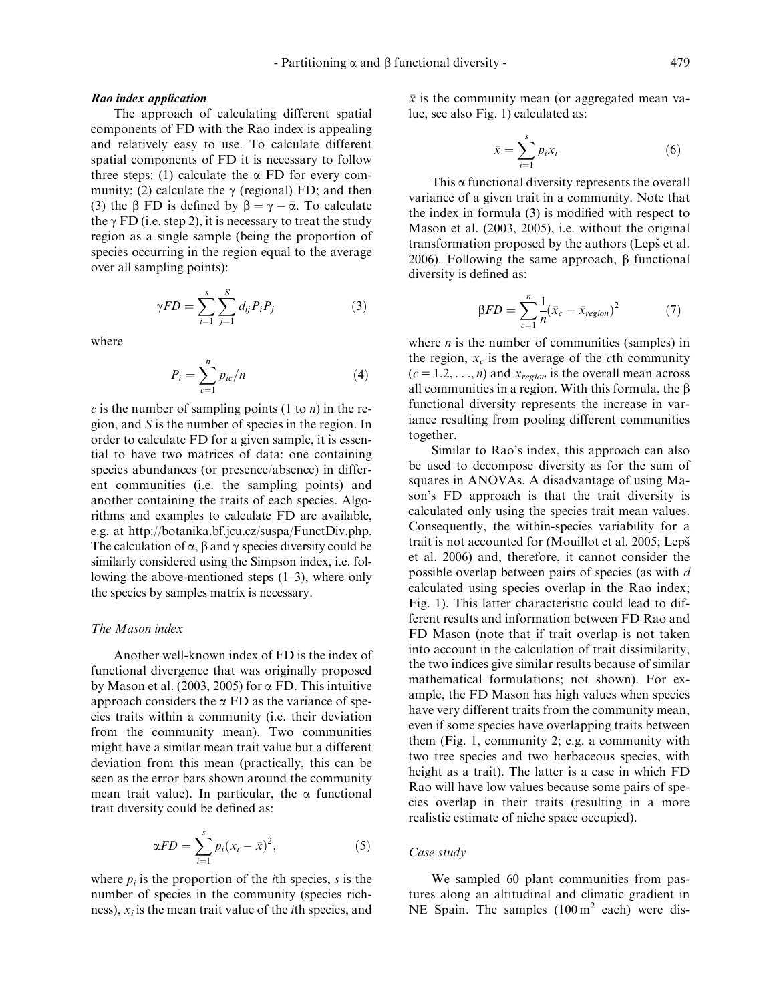#### Rao index application

The approach of calculating different spatial components of FD with the Rao index is appealing and relatively easy to use. To calculate different spatial components of FD it is necessary to follow three steps: (1) calculate the  $\alpha$  FD for every community; (2) calculate the  $\gamma$  (regional) FD; and then (3) the  $\beta$  FD is defined by  $\beta = \gamma - \overline{\alpha}$ . To calculate the  $\gamma$  FD (i.e. step 2), it is necessary to treat the study region as a single sample (being the proportion of species occurring in the region equal to the average over all sampling points):

$$
\gamma FD = \sum_{i=1}^{s} \sum_{j=1}^{S} d_{ij} P_i P_j \tag{3}
$$

where

$$
P_i = \sum_{c=1}^{n} p_{ic}/n \tag{4}
$$

c is the number of sampling points  $(1 \text{ to } n)$  in the region, and S is the number of species in the region. In order to calculate FD for a given sample, it is essential to have two matrices of data: one containing species abundances (or presence/absence) in different communities (i.e. the sampling points) and another containing the traits of each species. Algorithms and examples to calculate FD are available, e.g. at http://botanika.bf.jcu.cz/suspa/FunctDiv.php. The calculation of  $\alpha$ ,  $\beta$  and  $\gamma$  species diversity could be similarly considered using the Simpson index, i.e. following the above-mentioned steps (1–3), where only the species by samples matrix is necessary.

# The Mason index

Another well-known index of FD is the index of functional divergence that was originally proposed by Mason et al. (2003, 2005) for  $\alpha$  FD. This intuitive approach considers the  $\alpha$  FD as the variance of species traits within a community (i.e. their deviation from the community mean). Two communities might have a similar mean trait value but a different deviation from this mean (practically, this can be seen as the error bars shown around the community mean trait value). In particular, the  $\alpha$  functional trait diversity could be defined as:

$$
\alpha FD = \sum_{i=1}^{s} p_i (x_i - \bar{x})^2, \qquad (5)
$$

where  $p_i$  is the proportion of the *i*th species, *s* is the number of species in the community (species richness),  $x_i$  is the mean trait value of the *i*th species, and  $\bar{x}$  is the community mean (or aggregated mean value, see also Fig. 1) calculated as:

$$
\bar{x} = \sum_{i=1}^{s} p_i x_i \tag{6}
$$

This  $\alpha$  functional diversity represents the overall variance of a given trait in a community. Note that the index in formula (3) is modified with respect to Mason et al. (2003, 2005), i.e. without the original transformation proposed by the authors (Lepš et al. 2006). Following the same approach,  $\beta$  functional diversity is defined as:

$$
\beta FD = \sum_{c=1}^{n} \frac{1}{n} (\bar{x}_c - \bar{x}_{region})^2 \tag{7}
$$

where  $n$  is the number of communities (samples) in the region,  $x_c$  is the average of the cth community  $(c = 1,2,..., n)$  and  $x_{region}$  is the overall mean across all communities in a region. With this formula, the  $\beta$ functional diversity represents the increase in variance resulting from pooling different communities together.

Similar to Rao's index, this approach can also be used to decompose diversity as for the sum of squares in ANOVAs. A disadvantage of using Mason's FD approach is that the trait diversity is calculated only using the species trait mean values. Consequently, the within-species variability for a trait is not accounted for (Mouillot et al. 2005; Lepš et al. 2006) and, therefore, it cannot consider the possible overlap between pairs of species (as with d calculated using species overlap in the Rao index; Fig. 1). This latter characteristic could lead to different results and information between FD Rao and FD Mason (note that if trait overlap is not taken into account in the calculation of trait dissimilarity, the two indices give similar results because of similar mathematical formulations; not shown). For example, the FD Mason has high values when species have very different traits from the community mean, even if some species have overlapping traits between them (Fig. 1, community 2; e.g. a community with two tree species and two herbaceous species, with height as a trait). The latter is a case in which FD Rao will have low values because some pairs of species overlap in their traits (resulting in a more realistic estimate of niche space occupied).

## Case study

We sampled 60 plant communities from pastures along an altitudinal and climatic gradient in NE Spain. The samples  $(100 \text{ m}^2 \text{ each})$  were dis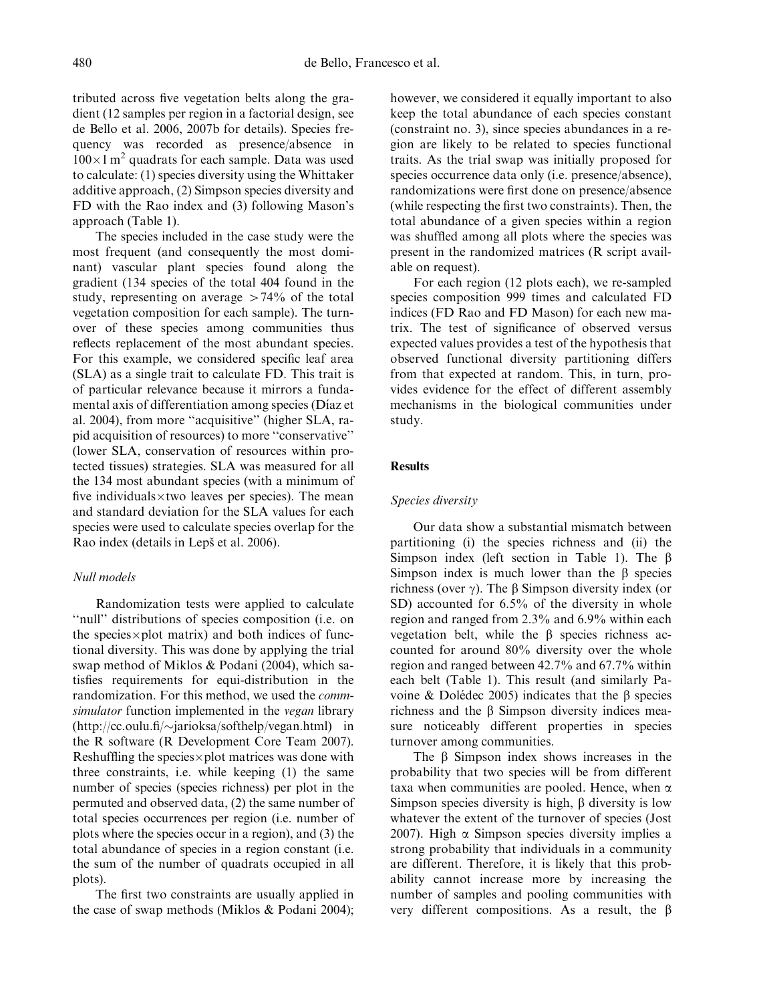tributed across five vegetation belts along the gradient (12 samples per region in a factorial design, see de Bello et al. 2006, 2007b for details). Species frequency was recorded as presence/absence in  $100\times1$  m<sup>2</sup> quadrats for each sample. Data was used to calculate: (1) species diversity using the Whittaker additive approach, (2) Simpson species diversity and FD with the Rao index and (3) following Mason's approach (Table 1).

The species included in the case study were the most frequent (and consequently the most dominant) vascular plant species found along the gradient (134 species of the total 404 found in the study, representing on average  $>74\%$  of the total vegetation composition for each sample). The turnover of these species among communities thus reflects replacement of the most abundant species. For this example, we considered specific leaf area (SLA) as a single trait to calculate FD. This trait is of particular relevance because it mirrors a fundamental axis of differentiation among species (Díaz et al. 2004), from more ''acquisitive'' (higher SLA, rapid acquisition of resources) to more ''conservative'' (lower SLA, conservation of resources within protected tissues) strategies. SLA was measured for all the 134 most abundant species (with a minimum of five individuals $\times$ two leaves per species). The mean and standard deviation for the SLA values for each species were used to calculate species overlap for the Rao index (details in Lepš et al. 2006).

## Null models

Randomization tests were applied to calculate ''null'' distributions of species composition (i.e. on the species $\times$ plot matrix) and both indices of functional diversity. This was done by applying the trial swap method of Miklos & Podani (2004), which satisfies requirements for equi-distribution in the randomization. For this method, we used the commsimulator function implemented in the vegan library  $(\text{http://cc.oulu.fi/\sim}iarioksa/\text{softhelp}/\text{vegan.html})$  in the R software (R Development Core Team 2007). Reshuffling the species $\times$ plot matrices was done with three constraints, i.e. while keeping (1) the same number of species (species richness) per plot in the permuted and observed data, (2) the same number of total species occurrences per region (i.e. number of plots where the species occur in a region), and (3) the total abundance of species in a region constant (i.e. the sum of the number of quadrats occupied in all plots).

The first two constraints are usually applied in the case of swap methods (Miklos & Podani 2004); however, we considered it equally important to also keep the total abundance of each species constant (constraint no. 3), since species abundances in a region are likely to be related to species functional traits. As the trial swap was initially proposed for species occurrence data only (i.e. presence/absence), randomizations were first done on presence/absence (while respecting the first two constraints). Then, the total abundance of a given species within a region was shuffled among all plots where the species was present in the randomized matrices (R script available on request).

For each region (12 plots each), we re-sampled species composition 999 times and calculated FD indices (FD Rao and FD Mason) for each new matrix. The test of significance of observed versus expected values provides a test of the hypothesis that observed functional diversity partitioning differs from that expected at random. This, in turn, provides evidence for the effect of different assembly mechanisms in the biological communities under study.

# **Results**

## Species diversity

Our data show a substantial mismatch between partitioning (i) the species richness and (ii) the Simpson index (left section in Table 1). The  $\beta$ Simpson index is much lower than the  $\beta$  species richness (over  $\gamma$ ). The  $\beta$  Simpson diversity index (or SD) accounted for  $6.5\%$  of the diversity in whole region and ranged from 2.3% and 6.9% within each vegetation belt, while the  $\beta$  species richness accounted for around 80% diversity over the whole region and ranged between 42.7% and 67.7% within each belt (Table 1). This result (and similarly Pavoine & Dolédec 2005) indicates that the  $\beta$  species richness and the  $\beta$  Simpson diversity indices measure noticeably different properties in species turnover among communities.

The  $\beta$  Simpson index shows increases in the probability that two species will be from different taxa when communities are pooled. Hence, when  $\alpha$ Simpson species diversity is high,  $\beta$  diversity is low whatever the extent of the turnover of species (Jost 2007). High  $\alpha$  Simpson species diversity implies a strong probability that individuals in a community are different. Therefore, it is likely that this probability cannot increase more by increasing the number of samples and pooling communities with very different compositions. As a result, the  $\beta$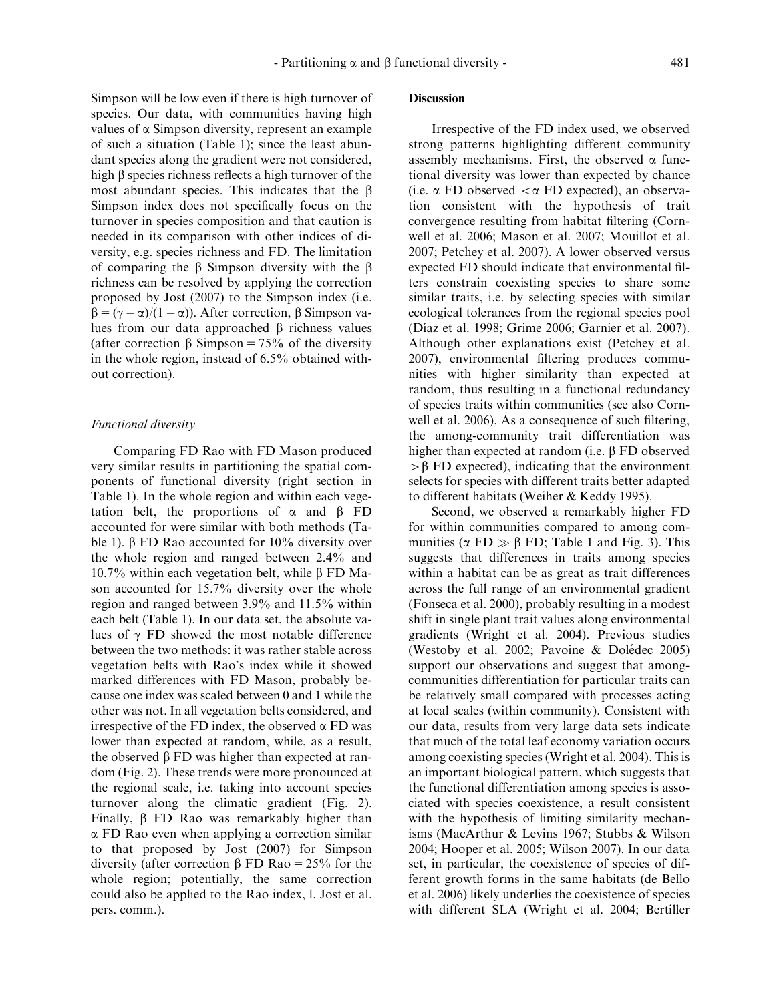Simpson will be low even if there is high turnover of species. Our data, with communities having high values of  $\alpha$  Simpson diversity, represent an example of such a situation (Table 1); since the least abundant species along the gradient were not considered, high  $\beta$  species richness reflects a high turnover of the most abundant species. This indicates that the  $\beta$ Simpson index does not specifically focus on the turnover in species composition and that caution is needed in its comparison with other indices of diversity, e.g. species richness and FD. The limitation of comparing the  $\beta$  Simpson diversity with the  $\beta$ richness can be resolved by applying the correction proposed by Jost (2007) to the Simpson index (i.e.  $\beta = (\gamma - \alpha)/(1 - \alpha)$ . After correction,  $\beta$  Simpson values from our data approached  $\beta$  richness values (after correction  $\beta$  Simpson = 75% of the diversity in the whole region, instead of 6.5% obtained without correction).

## Functional diversity

Comparing FD Rao with FD Mason produced very similar results in partitioning the spatial components of functional diversity (right section in Table 1). In the whole region and within each vegetation belt, the proportions of  $\alpha$  and  $\beta$  FD accounted for were similar with both methods (Table 1).  $\beta$  FD Rao accounted for 10% diversity over the whole region and ranged between 2.4% and 10.7% within each vegetation belt, while β FD Mason accounted for 15.7% diversity over the whole region and ranged between 3.9% and 11.5% within each belt (Table 1). In our data set, the absolute values of  $\gamma$  FD showed the most notable difference between the two methods: it was rather stable across vegetation belts with Rao's index while it showed marked differences with FD Mason, probably because one index was scaled between 0 and 1 while the other was not. In all vegetation belts considered, and irrespective of the FD index, the observed  $\alpha$  FD was lower than expected at random, while, as a result, the observed  $\beta$  FD was higher than expected at random (Fig. 2). These trends were more pronounced at the regional scale, i.e. taking into account species turnover along the climatic gradient (Fig. 2). Finally,  $\beta$  FD Rao was remarkably higher than  $\alpha$  FD Rao even when applying a correction similar to that proposed by Jost (2007) for Simpson diversity (after correction  $\beta$  FD Rao = 25% for the whole region; potentially, the same correction could also be applied to the Rao index, l. Jost et al. pers. comm.).

# **Discussion**

Irrespective of the FD index used, we observed strong patterns highlighting different community assembly mechanisms. First, the observed  $\alpha$  functional diversity was lower than expected by chance (i.e.  $\alpha$  FD observed  $\alpha$  FD expected), an observation consistent with the hypothesis of trait convergence resulting from habitat filtering (Cornwell et al. 2006; Mason et al. 2007; Mouillot et al. 2007; Petchey et al. 2007). A lower observed versus expected FD should indicate that environmental filters constrain coexisting species to share some similar traits, i.e. by selecting species with similar ecological tolerances from the regional species pool (Dı´az et al. 1998; Grime 2006; Garnier et al. 2007). Although other explanations exist (Petchey et al. 2007), environmental filtering produces communities with higher similarity than expected at random, thus resulting in a functional redundancy of species traits within communities (see also Cornwell et al. 2006). As a consequence of such filtering, the among-community trait differentiation was higher than expected at random (i.e.  $\beta$  FD observed  $>\beta$  FD expected), indicating that the environment selects for species with different traits better adapted to different habitats (Weiher & Keddy 1995).

Second, we observed a remarkably higher FD for within communities compared to among communities ( $\alpha$  FD  $\gg \beta$  FD; Table 1 and Fig. 3). This suggests that differences in traits among species within a habitat can be as great as trait differences across the full range of an environmental gradient (Fonseca et al. 2000), probably resulting in a modest shift in single plant trait values along environmental gradients (Wright et al. 2004). Previous studies (Westoby et al. 2002; Pavoine  $&$  Dolédec 2005) support our observations and suggest that amongcommunities differentiation for particular traits can be relatively small compared with processes acting at local scales (within community). Consistent with our data, results from very large data sets indicate that much of the total leaf economy variation occurs among coexisting species (Wright et al. 2004). This is an important biological pattern, which suggests that the functional differentiation among species is associated with species coexistence, a result consistent with the hypothesis of limiting similarity mechanisms (MacArthur & Levins 1967; Stubbs & Wilson 2004; Hooper et al. 2005; Wilson 2007). In our data set, in particular, the coexistence of species of different growth forms in the same habitats (de Bello et al. 2006) likely underlies the coexistence of species with different SLA (Wright et al. 2004; Bertiller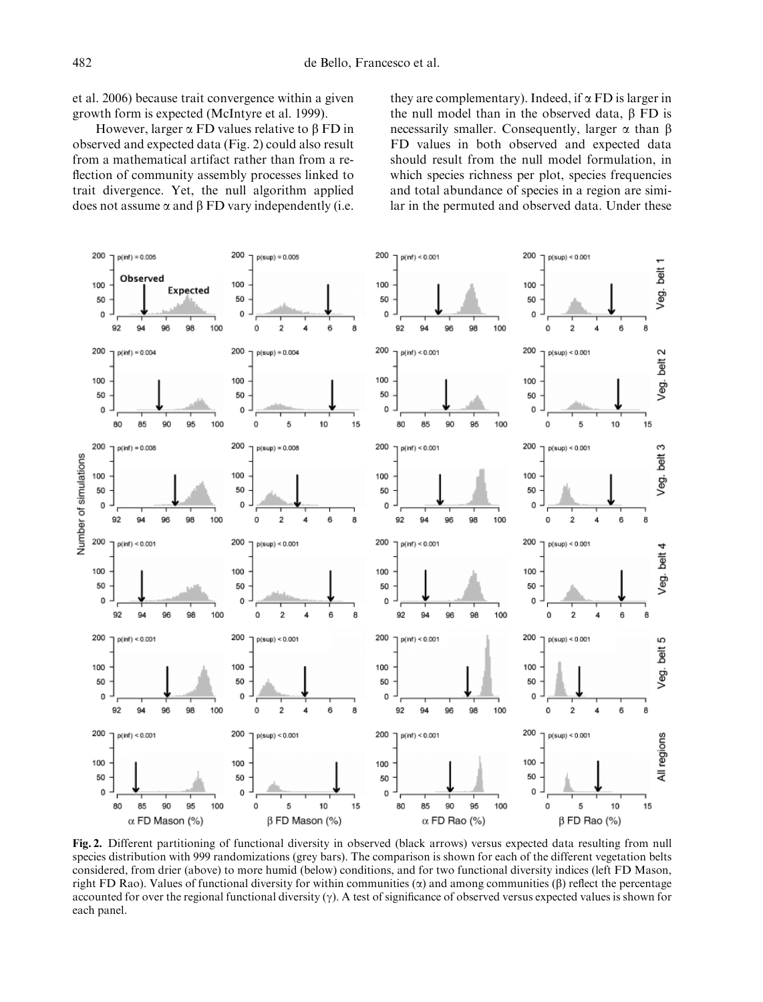et al. 2006) because trait convergence within a given growth form is expected (McIntyre et al. 1999).

However, larger  $\alpha$  FD values relative to  $\beta$  FD in observed and expected data (Fig. 2) could also result from a mathematical artifact rather than from a reflection of community assembly processes linked to trait divergence. Yet, the null algorithm applied does not assume  $\alpha$  and  $\beta$  FD vary independently (i.e.

they are complementary). Indeed, if  $\alpha$  FD is larger in the null model than in the observed data,  $\beta$  FD is necessarily smaller. Consequently, larger  $\alpha$  than  $\beta$ FD values in both observed and expected data should result from the null model formulation, in which species richness per plot, species frequencies and total abundance of species in a region are similar in the permuted and observed data. Under these



Fig. 2. Different partitioning of functional diversity in observed (black arrows) versus expected data resulting from null species distribution with 999 randomizations (grey bars). The comparison is shown for each of the different vegetation belts considered, from drier (above) to more humid (below) conditions, and for two functional diversity indices (left FD Mason, right FD Rao). Values of functional diversity for within communities  $(\alpha)$  and among communities ( $\beta$ ) reflect the percentage accounted for over the regional functional diversity  $(\gamma)$ . A test of significance of observed versus expected values is shown for each panel.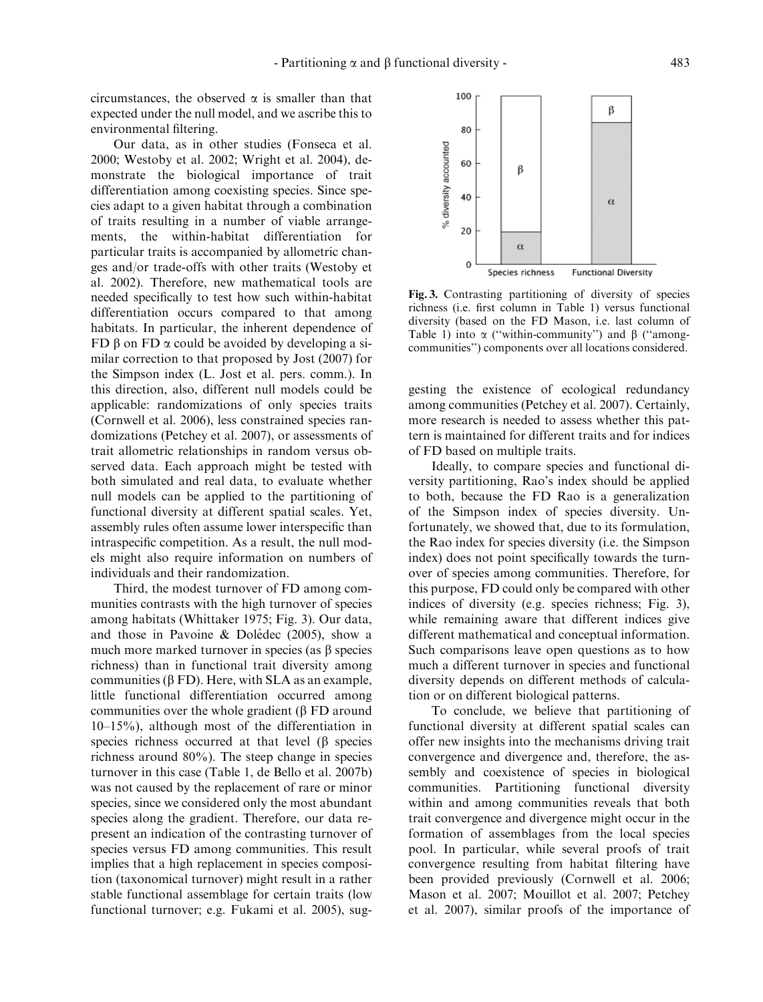circumstances, the observed  $\alpha$  is smaller than that expected under the null model, and we ascribe this to environmental filtering.

Our data, as in other studies (Fonseca et al. 2000; Westoby et al. 2002; Wright et al. 2004), demonstrate the biological importance of trait differentiation among coexisting species. Since species adapt to a given habitat through a combination of traits resulting in a number of viable arrangements, the within-habitat differentiation for particular traits is accompanied by allometric changes and/or trade-offs with other traits (Westoby et al. 2002). Therefore, new mathematical tools are needed specifically to test how such within-habitat differentiation occurs compared to that among habitats. In particular, the inherent dependence of FD  $\beta$  on FD  $\alpha$  could be avoided by developing a similar correction to that proposed by Jost (2007) for the Simpson index (L. Jost et al. pers. comm.). In this direction, also, different null models could be applicable: randomizations of only species traits (Cornwell et al. 2006), less constrained species randomizations (Petchey et al. 2007), or assessments of trait allometric relationships in random versus observed data. Each approach might be tested with both simulated and real data, to evaluate whether null models can be applied to the partitioning of functional diversity at different spatial scales. Yet, assembly rules often assume lower interspecific than intraspecific competition. As a result, the null models might also require information on numbers of individuals and their randomization.

Third, the modest turnover of FD among communities contrasts with the high turnover of species among habitats (Whittaker 1975; Fig. 3). Our data, and those in Pavoine  $\&$  Dolédec (2005), show a much more marked turnover in species (as  $\beta$  species richness) than in functional trait diversity among communities ( $\beta$  FD). Here, with SLA as an example, little functional differentiation occurred among communities over the whole gradient  $(\beta$  FD around 10–15%), although most of the differentiation in species richness occurred at that level  $(\beta$  species richness around 80%). The steep change in species turnover in this case (Table 1, de Bello et al. 2007b) was not caused by the replacement of rare or minor species, since we considered only the most abundant species along the gradient. Therefore, our data represent an indication of the contrasting turnover of species versus FD among communities. This result implies that a high replacement in species composition (taxonomical turnover) might result in a rather stable functional assemblage for certain traits (low functional turnover; e.g. Fukami et al. 2005), sug-



Fig. 3. Contrasting partitioning of diversity of species richness (i.e. first column in Table 1) versus functional diversity (based on the FD Mason, i.e. last column of Table 1) into  $\alpha$  ("within-community") and  $\beta$  ("amongcommunities'') components over all locations considered.

gesting the existence of ecological redundancy among communities (Petchey et al. 2007). Certainly, more research is needed to assess whether this pattern is maintained for different traits and for indices of FD based on multiple traits.

Ideally, to compare species and functional diversity partitioning, Rao's index should be applied to both, because the FD Rao is a generalization of the Simpson index of species diversity. Unfortunately, we showed that, due to its formulation, the Rao index for species diversity (i.e. the Simpson index) does not point specifically towards the turnover of species among communities. Therefore, for this purpose, FD could only be compared with other indices of diversity (e.g. species richness; Fig. 3), while remaining aware that different indices give different mathematical and conceptual information. Such comparisons leave open questions as to how much a different turnover in species and functional diversity depends on different methods of calculation or on different biological patterns.

To conclude, we believe that partitioning of functional diversity at different spatial scales can offer new insights into the mechanisms driving trait convergence and divergence and, therefore, the assembly and coexistence of species in biological communities. Partitioning functional diversity within and among communities reveals that both trait convergence and divergence might occur in the formation of assemblages from the local species pool. In particular, while several proofs of trait convergence resulting from habitat filtering have been provided previously (Cornwell et al. 2006; Mason et al. 2007; Mouillot et al. 2007; Petchey et al. 2007), similar proofs of the importance of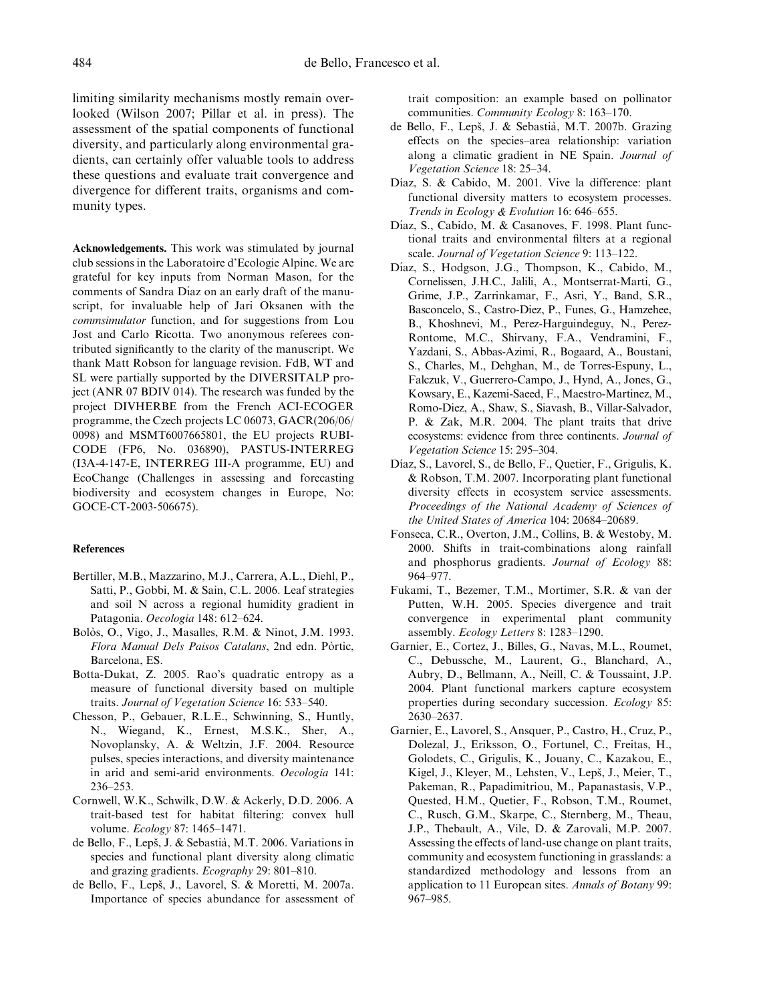limiting similarity mechanisms mostly remain overlooked (Wilson 2007; Pillar et al. in press). The assessment of the spatial components of functional diversity, and particularly along environmental gradients, can certainly offer valuable tools to address these questions and evaluate trait convergence and divergence for different traits, organisms and community types.

Acknowledgements. This work was stimulated by journal club sessions in the Laboratoire d'Ecologie Alpine. We are grateful for key inputs from Norman Mason, for the comments of Sandra Díaz on an early draft of the manuscript, for invaluable help of Jari Oksanen with the commsimulator function, and for suggestions from Lou Jost and Carlo Ricotta. Two anonymous referees contributed significantly to the clarity of the manuscript. We thank Matt Robson for language revision. FdB, WT and SL were partially supported by the DIVERSITALP project (ANR 07 BDIV 014). The research was funded by the project DIVHERBE from the French ACI-ECOGER programme, the Czech projects LC 06073, GACR(206/06/ 0098) and MSMT6007665801, the EU projects RUBI-CODE (FP6, No. 036890), PASTUS-INTERREG (I3A-4-147-E, INTERREG III-A programme, EU) and EcoChange (Challenges in assessing and forecasting biodiversity and ecosystem changes in Europe, No: GOCE-CT-2003-506675).

## References

- Bertiller, M.B., Mazzarino, M.J., Carrera, A.L., Diehl, P., Satti, P., Gobbi, M. & Sain, C.L. 2006. Leaf strategies and soil N across a regional humidity gradient in Patagonia. Oecologia 148: 612–624.
- Bolòs, O., Vigo, J., Masalles, R.M. & Ninot, J.M. 1993. Flora Manual Dels Paisos Catalans, 2nd edn. Pòrtic, Barcelona, ES.
- Botta-Dukat, Z. 2005. Rao's quadratic entropy as a measure of functional diversity based on multiple traits. Journal of Vegetation Science 16: 533–540.
- Chesson, P., Gebauer, R.L.E., Schwinning, S., Huntly, N., Wiegand, K., Ernest, M.S.K., Sher, A., Novoplansky, A. & Weltzin, J.F. 2004. Resource pulses, species interactions, and diversity maintenance in arid and semi-arid environments. Oecologia 141: 236–253.
- Cornwell, W.K., Schwilk, D.W. & Ackerly, D.D. 2006. A trait-based test for habitat filtering: convex hull volume. Ecology 87: 1465–1471.
- de Bello, F., Lepš, J. & Sebastià, M.T. 2006. Variations in species and functional plant diversity along climatic and grazing gradients. Ecography 29: 801–810.
- de Bello, F., Lepš, J., Lavorel, S. & Moretti, M. 2007a. Importance of species abundance for assessment of

trait composition: an example based on pollinator communities. Community Ecology 8: 163–170.

- de Bello, F., Lepš, J. & Sebastià, M.T. 2007b. Grazing effects on the species–area relationship: variation along a climatic gradient in NE Spain. Journal of Vegetation Science 18: 25–34.
- Díaz, S. & Cabido, M. 2001. Vive la difference: plant functional diversity matters to ecosystem processes. Trends in Ecology & Evolution 16: 646–655.
- Díaz, S., Cabido, M. & Casanoves, F. 1998. Plant functional traits and environmental filters at a regional scale. Journal of Vegetation Science 9: 113–122.
- Díaz, S., Hodgson, J.G., Thompson, K., Cabido, M., Cornelissen, J.H.C., Jalili, A., Montserrat-Marti, G., Grime, J.P., Zarrinkamar, F., Asri, Y., Band, S.R., Basconcelo, S., Castro-Diez, P., Funes, G., Hamzehee, B., Khoshnevi, M., Perez-Harguindeguy, N., Perez-Rontome, M.C., Shirvany, F.A., Vendramini, F., Yazdani, S., Abbas-Azimi, R., Bogaard, A., Boustani, S., Charles, M., Dehghan, M., de Torres-Espuny, L., Falczuk, V., Guerrero-Campo, J., Hynd, A., Jones, G., Kowsary, E., Kazemi-Saeed, F., Maestro-Martinez, M., Romo-Diez, A., Shaw, S., Siavash, B., Villar-Salvador, P. & Zak, M.R. 2004. The plant traits that drive ecosystems: evidence from three continents. Journal of Vegetation Science 15: 295–304.
- Díaz, S., Lavorel, S., de Bello, F., Quetier, F., Grigulis, K. & Robson, T.M. 2007. Incorporating plant functional diversity effects in ecosystem service assessments. Proceedings of the National Academy of Sciences of the United States of America 104: 20684–20689.
- Fonseca, C.R., Overton, J.M., Collins, B. & Westoby, M. 2000. Shifts in trait-combinations along rainfall and phosphorus gradients. Journal of Ecology 88: 964–977.
- Fukami, T., Bezemer, T.M., Mortimer, S.R. & van der Putten, W.H. 2005. Species divergence and trait convergence in experimental plant community assembly. Ecology Letters 8: 1283–1290.
- Garnier, E., Cortez, J., Billes, G., Navas, M.L., Roumet, C., Debussche, M., Laurent, G., Blanchard, A., Aubry, D., Bellmann, A., Neill, C. & Toussaint, J.P. 2004. Plant functional markers capture ecosystem properties during secondary succession. Ecology 85: 2630–2637.
- Garnier, E., Lavorel, S., Ansquer, P., Castro, H., Cruz, P., Dolezal, J., Eriksson, O., Fortunel, C., Freitas, H., Golodets, C., Grigulis, K., Jouany, C., Kazakou, E., Kigel, J., Kleyer, M., Lehsten, V., Lepš, J., Meier, T., Pakeman, R., Papadimitriou, M., Papanastasis, V.P., Quested, H.M., Quetier, F., Robson, T.M., Roumet, C., Rusch, G.M., Skarpe, C., Sternberg, M., Theau, J.P., Thebault, A., Vile, D. & Zarovali, M.P. 2007. Assessing the effects of land-use change on plant traits, community and ecosystem functioning in grasslands: a standardized methodology and lessons from an application to 11 European sites. Annals of Botany 99: 967–985.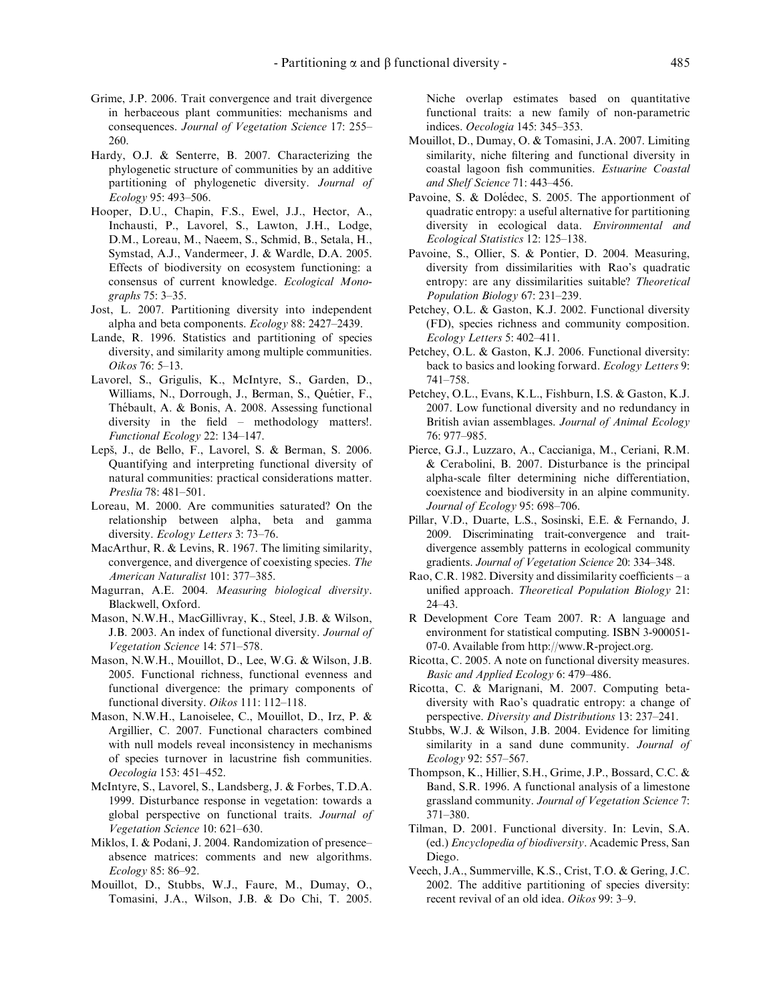- Grime, J.P. 2006. Trait convergence and trait divergence in herbaceous plant communities: mechanisms and consequences. Journal of Vegetation Science 17: 255– 260.
- Hardy, O.J. & Senterre, B. 2007. Characterizing the phylogenetic structure of communities by an additive partitioning of phylogenetic diversity. Journal of Ecology 95: 493–506.
- Hooper, D.U., Chapin, F.S., Ewel, J.J., Hector, A., Inchausti, P., Lavorel, S., Lawton, J.H., Lodge, D.M., Loreau, M., Naeem, S., Schmid, B., Setala, H., Symstad, A.J., Vandermeer, J. & Wardle, D.A. 2005. Effects of biodiversity on ecosystem functioning: a consensus of current knowledge. Ecological Monographs 75: 3–35.
- Jost, L. 2007. Partitioning diversity into independent alpha and beta components. Ecology 88: 2427–2439.
- Lande, R. 1996. Statistics and partitioning of species diversity, and similarity among multiple communities. Oikos 76: 5–13.
- Lavorel, S., Grigulis, K., McIntyre, S., Garden, D., Williams, N., Dorrough, J., Berman, S., Quétier, F., Thébault, A. & Bonis, A. 2008. Assessing functional diversity in the field – methodology matters!. Functional Ecology 22: 134–147.
- Lepš, J., de Bello, F., Lavorel, S. & Berman, S. 2006. Quantifying and interpreting functional diversity of natural communities: practical considerations matter. Preslia 78: 481–501.
- Loreau, M. 2000. Are communities saturated? On the relationship between alpha, beta and gamma diversity. Ecology Letters 3: 73–76.
- MacArthur, R. & Levins, R. 1967. The limiting similarity, convergence, and divergence of coexisting species. The American Naturalist 101: 377–385.
- Magurran, A.E. 2004. Measuring biological diversity. Blackwell, Oxford.
- Mason, N.W.H., MacGillivray, K., Steel, J.B. & Wilson, J.B. 2003. An index of functional diversity. Journal of Vegetation Science 14: 571–578.
- Mason, N.W.H., Mouillot, D., Lee, W.G. & Wilson, J.B. 2005. Functional richness, functional evenness and functional divergence: the primary components of functional diversity. Oikos 111: 112–118.
- Mason, N.W.H., Lanoiselee, C., Mouillot, D., Irz, P. & Argillier, C. 2007. Functional characters combined with null models reveal inconsistency in mechanisms of species turnover in lacustrine fish communities. Oecologia 153: 451–452.
- McIntyre, S., Lavorel, S., Landsberg, J. & Forbes, T.D.A. 1999. Disturbance response in vegetation: towards a global perspective on functional traits. Journal of Vegetation Science 10: 621–630.
- Miklos, I. & Podani, J. 2004. Randomization of presence– absence matrices: comments and new algorithms. Ecology 85: 86–92.
- Mouillot, D., Stubbs, W.J., Faure, M., Dumay, O., Tomasini, J.A., Wilson, J.B. & Do Chi, T. 2005.

Niche overlap estimates based on quantitative functional traits: a new family of non-parametric indices. Oecologia 145: 345–353.

- Mouillot, D., Dumay, O. & Tomasini, J.A. 2007. Limiting similarity, niche filtering and functional diversity in coastal lagoon fish communities. Estuarine Coastal and Shelf Science 71: 443–456.
- Pavoine, S. & Dolédec, S. 2005. The apportionment of quadratic entropy: a useful alternative for partitioning diversity in ecological data. Environmental and Ecological Statistics 12: 125–138.
- Pavoine, S., Ollier, S. & Pontier, D. 2004. Measuring, diversity from dissimilarities with Rao's quadratic entropy: are any dissimilarities suitable? Theoretical Population Biology 67: 231–239.
- Petchey, O.L. & Gaston, K.J. 2002. Functional diversity (FD), species richness and community composition. Ecology Letters 5: 402–411.
- Petchey, O.L. & Gaston, K.J. 2006. Functional diversity: back to basics and looking forward. Ecology Letters 9: 741–758.
- Petchey, O.L., Evans, K.L., Fishburn, I.S. & Gaston, K.J. 2007. Low functional diversity and no redundancy in British avian assemblages. Journal of Animal Ecology 76: 977–985.
- Pierce, G.J., Luzzaro, A., Caccianiga, M., Ceriani, R.M. & Cerabolini, B. 2007. Disturbance is the principal alpha-scale filter determining niche differentiation, coexistence and biodiversity in an alpine community. Journal of Ecology 95: 698–706.
- Pillar, V.D., Duarte, L.S., Sosinski, E.E. & Fernando, J. 2009. Discriminating trait-convergence and traitdivergence assembly patterns in ecological community gradients. Journal of Vegetation Science 20: 334–348.
- Rao, C.R. 1982. Diversity and dissimilarity coefficients a unified approach. Theoretical Population Biology 21: 24–43.
- R Development Core Team 2007. R: A language and environment for statistical computing. ISBN 3-900051- 07-0. Available from http://www.R-project.org.
- Ricotta, C. 2005. A note on functional diversity measures. Basic and Applied Ecology 6: 479–486.
- Ricotta, C. & Marignani, M. 2007. Computing betadiversity with Rao's quadratic entropy: a change of perspective. Diversity and Distributions 13: 237–241.
- Stubbs, W.J. & Wilson, J.B. 2004. Evidence for limiting similarity in a sand dune community. Journal of Ecology 92: 557–567.
- Thompson, K., Hillier, S.H., Grime, J.P., Bossard, C.C. & Band, S.R. 1996. A functional analysis of a limestone grassland community. Journal of Vegetation Science 7: 371–380.
- Tilman, D. 2001. Functional diversity. In: Levin, S.A. (ed.) Encyclopedia of biodiversity. Academic Press, San Diego.
- Veech, J.A., Summerville, K.S., Crist, T.O. & Gering, J.C. 2002. The additive partitioning of species diversity: recent revival of an old idea. Oikos 99: 3–9.